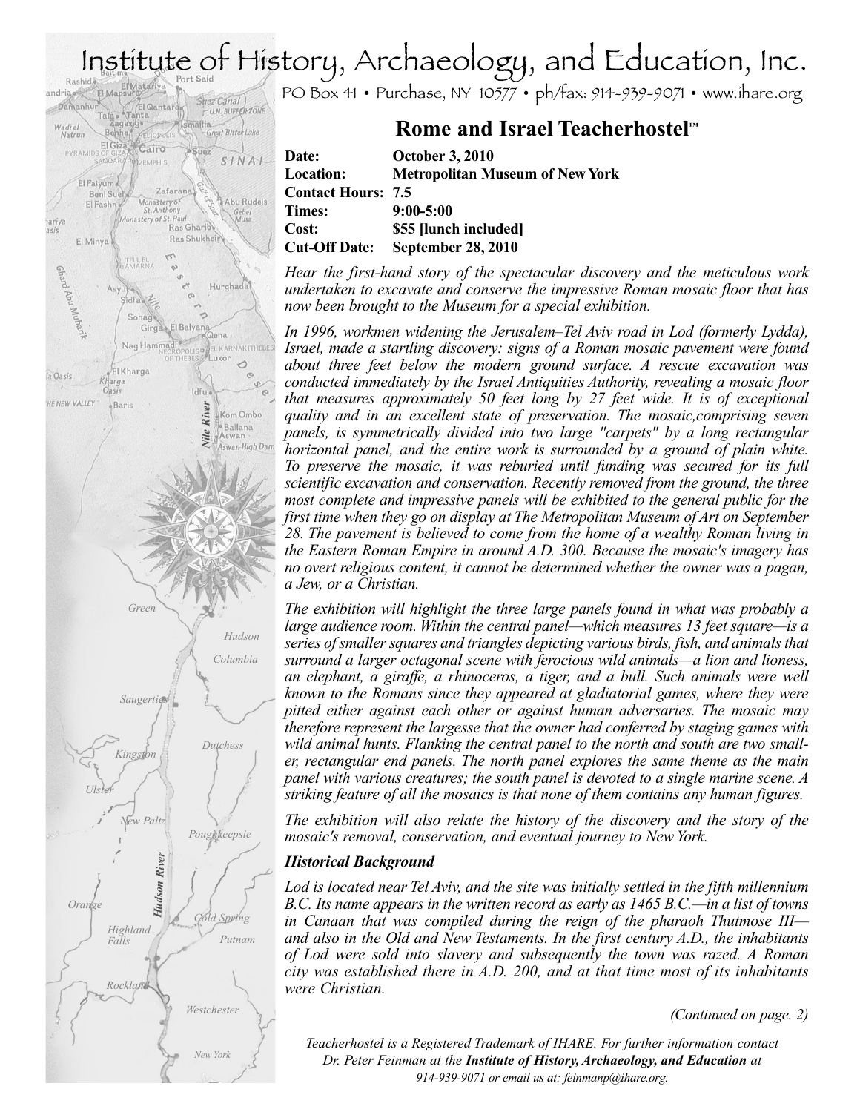## Institute of History, Archaeology, and Education, Inc.

PO Box 41 • Purchase, NY 10577 • ph/fax: 914-939-9071 • www.ihare.org

### **Rome and Israel Teacherhostel ™**

| Date:                     | <b>October 3, 2010</b>                 |
|---------------------------|----------------------------------------|
| <b>Location:</b>          | <b>Metropolitan Museum of New York</b> |
| <b>Contact Hours: 7.5</b> |                                        |
| Times:                    | $9:00 - 5:00$                          |
| Cost:                     | \$55 [lunch included]                  |
| <b>Cut-Off Date:</b>      | <b>September 28, 2010</b>              |

*Hear the first-hand story of the spectacular discovery and the meticulous work undertaken to excavate and conserve the impressive Roman mosaic floor that has now been brought to the Museum for a special exhibition.*

*In 1996, workmen widening the Jerusalem–Tel Aviv road in Lod (formerly Lydda), Israel, made a startling discovery: signs of a Roman mosaic pavement were found about three feet below the modern ground surface. A rescue excavation was conducted immediately by the Israel Antiquities Authority, revealing a mosaic floor that measures approximately 50 feet long by 27 feet wide. It is of exceptional quality and in an excellent state of preservation. The mosaic,comprising seven panels, is symmetrically divided into two large "carpets" by a long rectangular horizontal panel, and the entire work is surrounded by a ground of plain white. To preserve the mosaic, it was reburied until funding was secured for its full scientific excavation and conservation. Recently removed from the ground, the three most complete and impressive panels will be exhibited to the general public for the first time when they go on display at The Metropolitan Museum of Art on September 28. The pavement is believed to come from the home of a wealthy Roman living in the Eastern Roman Empire in around A.D. 300. Because the mosaic's imagery has no overt religious content, it cannot be determined whether the owner was a pagan, a Jew, or a Christian.*

*The exhibition will highlight the three large panels found in what was probably a large audience room. Within the central panel—which measures 13 feet square—is a series ofsmallersquares and triangles depicting various birds, fish, and animalsthat surround a larger octagonal scene with ferocious wild animals—a lion and lioness, an elephant, a giraffe, a rhinoceros, a tiger, and a bull. Such animals were well known to the Romans since they appeared at gladiatorial games, where they were pitted either against each other or against human adversaries. The mosaic may therefore represent the largesse that the owner had conferred by staging games with wild animal hunts. Flanking the central panel to the north and south are two smaller, rectangular end panels. The north panel explores the same theme as the main panel with various creatures; the south panel is devoted to a single marine scene. A striking feature of all the mosaics is that none of them contains any human figures.*

*The exhibition will also relate the history of the discovery and the story of the mosaic's removal, conservation, and eventual journey to NewYork.*

### *Historical Background*

*Lod is located near Tel Aviv, and the site was initially settled in the fifth millennium B.C. Its name appears in the written record as early as 1465 B.C.—in a list of towns in Canaan that was compiled during the reign of the pharaoh Thutmose III and also in the Old and New Testaments. In the first century A.D., the inhabitants of Lod were sold into slavery and subsequently the town was razed. A Roman city was established there in A.D. 200, and at that time most of its inhabitants were Christian.*

*(Continued on page. 2)*

*Teacherhostel is a Registered Trademark of IHARE. For further information contact Dr. Peter Feinman at the Institute of History,Archaeology, and Education at 914-939-9071 or email us at: feinmanp@ihare.org.*